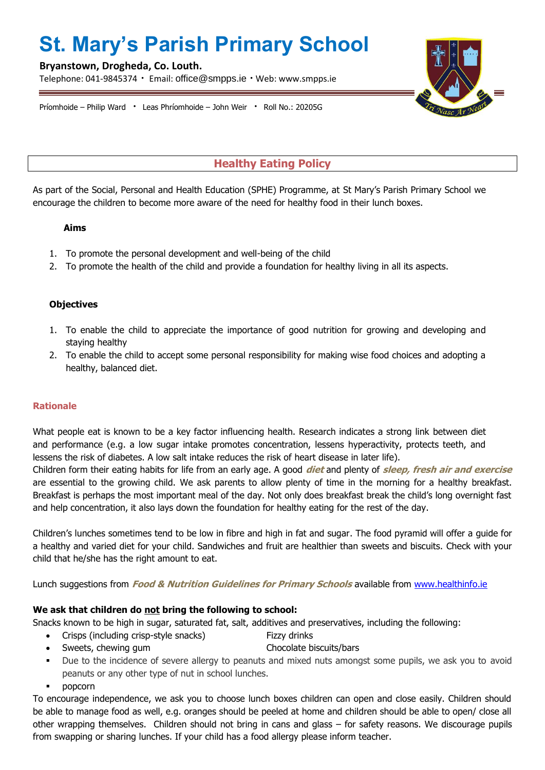# **St. Mary's Parish Primary School**

## **Bryanstown, Drogheda, Co. Louth.**

Telephone: 041-9845374 · Email: [office@smpps.ie](mailto:office@smpps.ie) · Web: www.smpps.ie



Príomhoide – Philip Ward · Leas Phríomhoide – John Weir · Roll No.: 20205G

**Healthy Eating Policy**

As part of the Social, Personal and Health Education (SPHE) Programme, at St Mary's Parish Primary School we encourage the children to become more aware of the need for healthy food in their lunch boxes.

## **Aims**

- 1. To promote the personal development and well-being of the child
- 2. To promote the health of the child and provide a foundation for healthy living in all its aspects.

## **Objectives**

- 1. To enable the child to appreciate the importance of good nutrition for growing and developing and staying healthy
- 2. To enable the child to accept some personal responsibility for making wise food choices and adopting a healthy, balanced diet.

#### **Rationale**

What people eat is known to be a key factor influencing health. Research indicates a strong link between diet and performance (e.g. a low sugar intake promotes concentration, lessens hyperactivity, protects teeth, and lessens the risk of diabetes. A low salt intake reduces the risk of heart disease in later life).

Children form their eating habits for life from an early age. A good **diet** and plenty of **sleep, fresh air and exercise**  are essential to the growing child. We ask parents to allow plenty of time in the morning for a healthy breakfast. Breakfast is perhaps the most important meal of the day. Not only does breakfast break the child's long overnight fast and help concentration, it also lays down the foundation for healthy eating for the rest of the day.

Children's lunches sometimes tend to be low in fibre and high in fat and sugar. The food pyramid will offer a guide for a healthy and varied diet for your child. Sandwiches and fruit are healthier than sweets and biscuits. Check with your child that he/she has the right amount to eat.

Lunch suggestions from **Food & Nutrition Guidelines for Primary Schools** available from [www.healthinfo.ie](http://www.healthinfo.ie/)

# **We ask that children do not bring the following to school:**

Snacks known to be high in sugar, saturated fat, salt, additives and preservatives, including the following:

- Crisps (including crisp-style snacks) Fizzy drinks
- Sweets, chewing gum **Chocolate biscuits/bars**
- Due to the incidence of severe allergy to peanuts and mixed nuts amongst some pupils, we ask you to avoid peanuts or any other type of nut in school lunches.
- popcorn

To encourage independence, we ask you to choose lunch boxes children can open and close easily. Children should be able to manage food as well, e.g. oranges should be peeled at home and children should be able to open/ close all other wrapping themselves. Children should not bring in cans and glass – for safety reasons. We discourage pupils from swapping or sharing lunches. If your child has a food allergy please inform teacher.